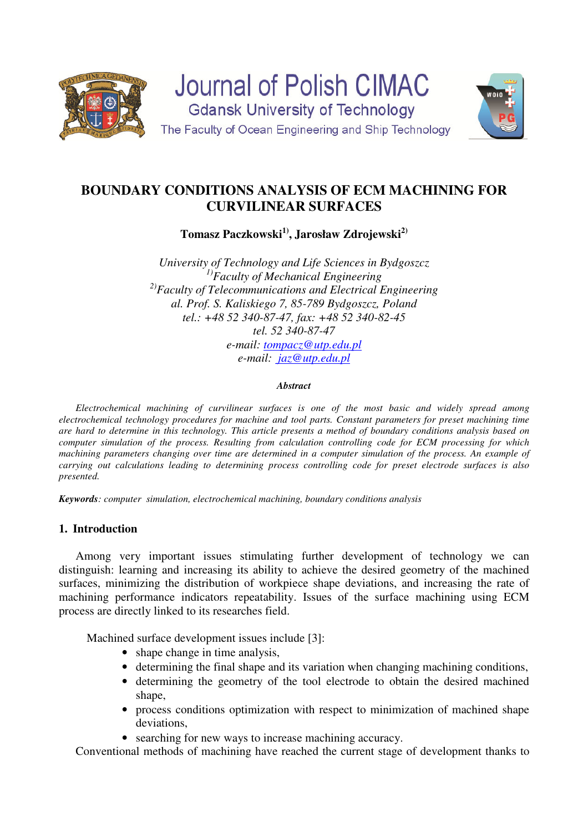

**Journal of Polish CIMAC Gdansk University of Technology** The Faculty of Ocean Engineering and Ship Technology



# **BOUNDARY CONDITIONS ANALYSIS OF ECM MACHINING FOR CURVILINEAR SURFACES**

**Tomasz Paczkowski1), Jarosław Zdrojewski2)**

*University of Technology and Life Sciences in Bydgoszcz 1)Faculty of Mechanical Engineering 2)Faculty of Telecommunications and Electrical Engineering al. Prof. S. Kaliskiego 7, 85-789 Bydgoszcz, Poland tel.: +48 52 340-87-47, fax: +48 52 340-82-45 tel. 52 340-87-47 e-mail: tompacz@utp.edu.pl e-mail: jaz@utp.edu.pl* 

#### *Abstract*

 *Electrochemical machining of curvilinear surfaces is one of the most basic and widely spread among electrochemical technology procedures for machine and tool parts. Constant parameters for preset machining time are hard to determine in this technology. This article presents a method of boundary conditions analysis based on computer simulation of the process. Resulting from calculation controlling code for ECM processing for which machining parameters changing over time are determined in a computer simulation of the process. An example of carrying out calculations leading to determining process controlling code for preset electrode surfaces is also presented.* 

*Keywords: computer simulation, electrochemical machining, boundary conditions analysis*

## **1. Introduction**

 Among very important issues stimulating further development of technology we can distinguish: learning and increasing its ability to achieve the desired geometry of the machined surfaces, minimizing the distribution of workpiece shape deviations, and increasing the rate of machining performance indicators repeatability. Issues of the surface machining using ECM process are directly linked to its researches field.

Machined surface development issues include [3]:

- shape change in time analysis,
- determining the final shape and its variation when changing machining conditions,
- determining the geometry of the tool electrode to obtain the desired machined shape,
- process conditions optimization with respect to minimization of machined shape deviations,
- searching for new ways to increase machining accuracy.

Conventional methods of machining have reached the current stage of development thanks to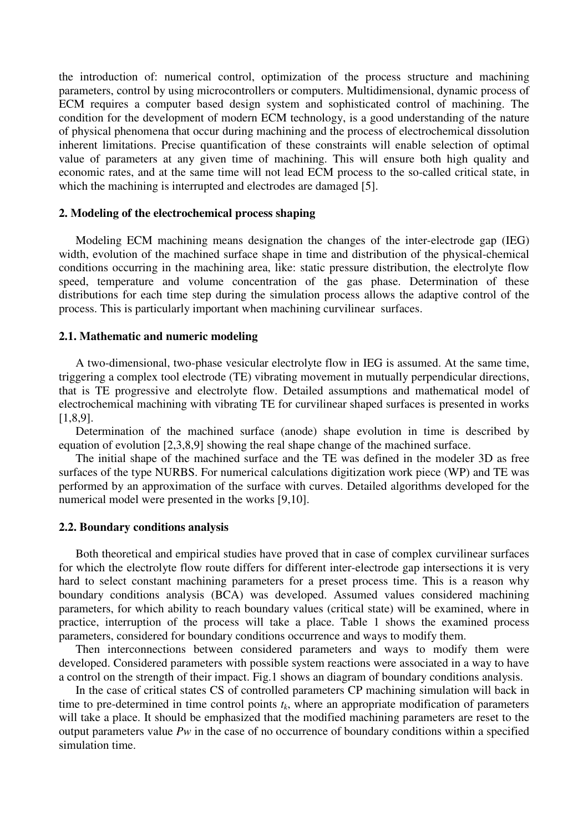the introduction of: numerical control, optimization of the process structure and machining parameters, control by using microcontrollers or computers. Multidimensional, dynamic process of ECM requires a computer based design system and sophisticated control of machining. The condition for the development of modern ECM technology, is a good understanding of the nature of physical phenomena that occur during machining and the process of electrochemical dissolution inherent limitations. Precise quantification of these constraints will enable selection of optimal value of parameters at any given time of machining. This will ensure both high quality and economic rates, and at the same time will not lead ECM process to the so-called critical state, in which the machining is interrupted and electrodes are damaged [5].

#### **2. Modeling of the electrochemical process shaping**

 Modeling ECM machining means designation the changes of the inter-electrode gap (IEG) width, evolution of the machined surface shape in time and distribution of the physical-chemical conditions occurring in the machining area, like: static pressure distribution, the electrolyte flow speed, temperature and volume concentration of the gas phase. Determination of these distributions for each time step during the simulation process allows the adaptive control of the process. This is particularly important when machining curvilinear surfaces.

#### **2.1. Mathematic and numeric modeling**

 A two-dimensional, two-phase vesicular electrolyte flow in IEG is assumed. At the same time, triggering a complex tool electrode (TE) vibrating movement in mutually perpendicular directions, that is TE progressive and electrolyte flow. Detailed assumptions and mathematical model of electrochemical machining with vibrating TE for curvilinear shaped surfaces is presented in works [1,8,9].

 Determination of the machined surface (anode) shape evolution in time is described by equation of evolution [2,3,8,9] showing the real shape change of the machined surface.

 The initial shape of the machined surface and the TE was defined in the modeler 3D as free surfaces of the type NURBS. For numerical calculations digitization work piece (WP) and TE was performed by an approximation of the surface with curves. Detailed algorithms developed for the numerical model were presented in the works [9,10].

#### **2.2. Boundary conditions analysis**

 Both theoretical and empirical studies have proved that in case of complex curvilinear surfaces for which the electrolyte flow route differs for different inter-electrode gap intersections it is very hard to select constant machining parameters for a preset process time. This is a reason why boundary conditions analysis (BCA) was developed. Assumed values considered machining parameters, for which ability to reach boundary values (critical state) will be examined, where in practice, interruption of the process will take a place. Table 1 shows the examined process parameters, considered for boundary conditions occurrence and ways to modify them.

 Then interconnections between considered parameters and ways to modify them were developed. Considered parameters with possible system reactions were associated in a way to have a control on the strength of their impact. Fig.1 shows an diagram of boundary conditions analysis.

 In the case of critical states CS of controlled parameters CP machining simulation will back in time to pre-determined in time control points  $t_k$ , where an appropriate modification of parameters will take a place. It should be emphasized that the modified machining parameters are reset to the output parameters value *Pw* in the case of no occurrence of boundary conditions within a specified simulation time.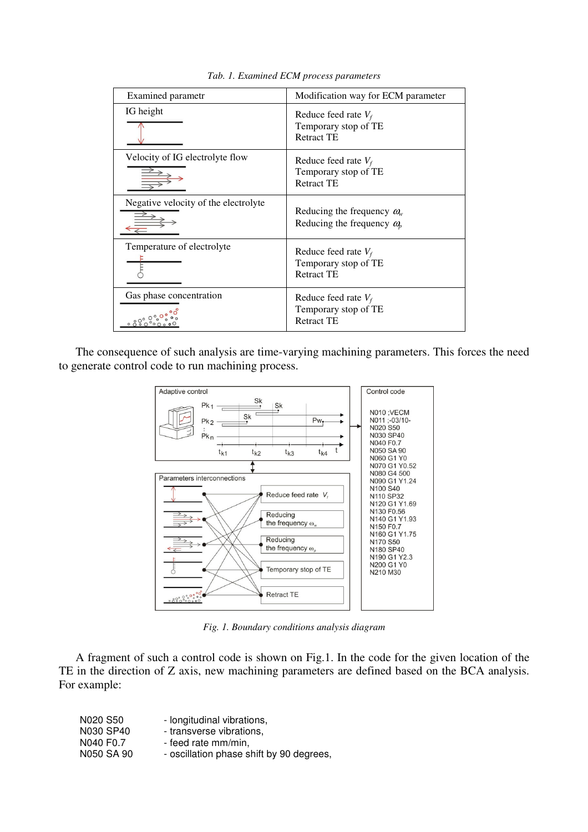| Examined parametr                    | Modification way for ECM parameter                                                  |
|--------------------------------------|-------------------------------------------------------------------------------------|
| IG height                            | Reduce feed rate $V_f$<br>Temporary stop of TE<br><b>Retract TE</b>                 |
| Velocity of IG electrolyte flow      | Reduce feed rate $V_f$<br>Temporary stop of TE<br><b>Retract TE</b>                 |
| Negative velocity of the electrolyte | Reducing the frequency $\omega_{w}$<br>Reducing the frequency $\omega$ <sub>b</sub> |
| Temperature of electrolyte           | Reduce feed rate $V_f$<br>Temporary stop of TE<br><b>Retract TE</b>                 |
| Gas phase concentration              | Reduce feed rate $V_f$<br>Temporary stop of TE<br><b>Retract TE</b>                 |

*Tab. 1. Examined ECM process parameters* 

 The consequence of such analysis are time-varying machining parameters. This forces the need to generate control code to run machining process.



*Fig. 1. Boundary conditions analysis diagram* 

 A fragment of such a control code is shown on Fig.1. In the code for the given location of the TE in the direction of Z axis, new machining parameters are defined based on the BCA analysis. For example:

| N020 S50   | - longitudinal vibrations,               |
|------------|------------------------------------------|
| N030 SP40  | - transverse vibrations.                 |
| N040 F0.7  | - feed rate mm/min.                      |
| N050 SA 90 | - oscillation phase shift by 90 degrees, |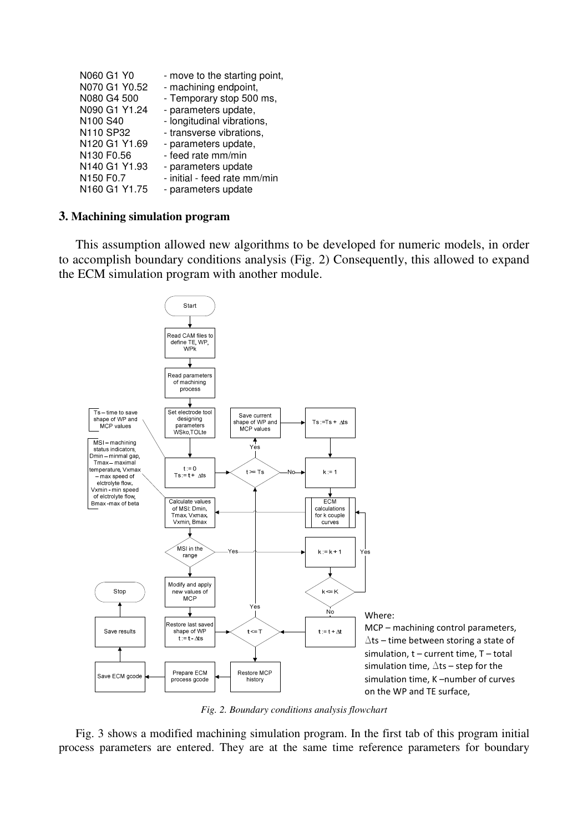| N060 G1 Y0                                        | - move to the starting point, |
|---------------------------------------------------|-------------------------------|
| N070 G1 Y0.52                                     | - machining endpoint,         |
| N080 G4 500                                       | - Temporary stop 500 ms,      |
| N090 G1 Y1.24                                     | - parameters update,          |
| N100 S40                                          | - longitudinal vibrations,    |
| N110 SP32                                         | - transverse vibrations,      |
| N120 G1 Y1.69                                     | - parameters update,          |
| N130 F0.56                                        | - feed rate mm/min            |
| N140 G1 Y1.93                                     | - parameters update           |
| N <sub>150</sub> F <sub>0.7</sub>                 | - initial - feed rate mm/min  |
| N <sub>160</sub> G <sub>1</sub> Y <sub>1.75</sub> | - parameters update           |

### **3. Machining simulation program**

 This assumption allowed new algorithms to be developed for numeric models, in order to accomplish boundary conditions analysis (Fig. 2) Consequently, this allowed to expand the ECM simulation program with another module.



*Fig. 2. Boundary conditions analysis flowchart* 

 Fig. 3 shows a modified machining simulation program. In the first tab of this program initial process parameters are entered. They are at the same time reference parameters for boundary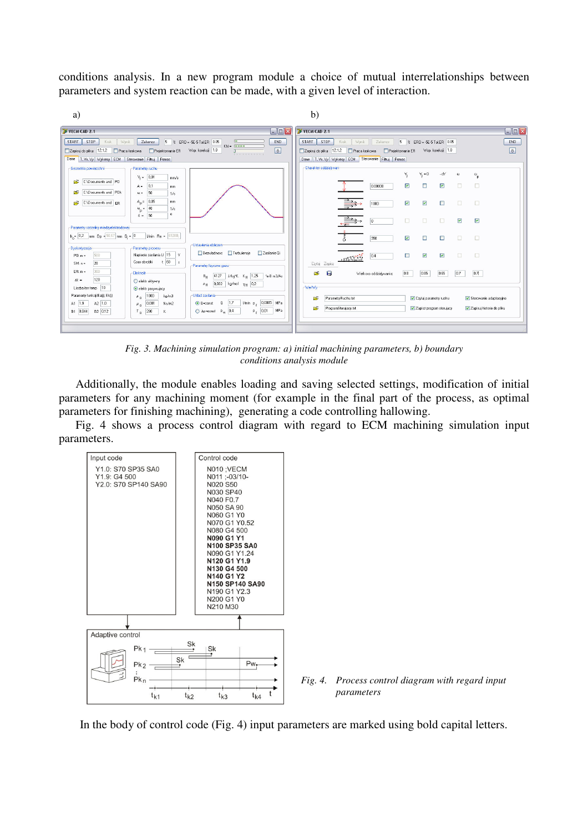conditions analysis. In a new program module a choice of mutual interrelationships between parameters and system reaction can be made, with a given level of interaction.



*Fig. 3. Machining simulation program: a) initial machining parameters, b) boundary conditions analysis module* 

 Additionally, the module enables loading and saving selected settings, modification of initial parameters for any machining moment (for example in the final part of the process, as optimal parameters for finishing machining), generating a code controlling hallowing.

 Fig. 4 shows a process control diagram with regard to ECM machining simulation input parameters.



In the body of control code (Fig. 4) input parameters are marked using bold capital letters.